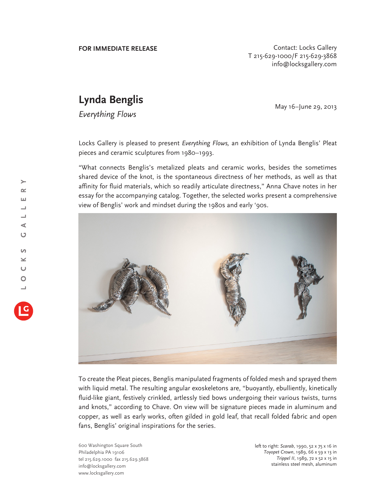**FOR IMMEDIATE RELEASE CONTACT SEE ASSESS CONTACT CONTACT CONTACT CONTACT CONTACT CONTACT CONTACT CONTACT CONTACT CONTACT CONTACT CONTACT CONTACT CONTACT CONTACT CONTACT CONTACT CONTACT CONTACT CONTACT CONTACT CONTACT** T 215-629-1000/F 215-629-3868 info@locksgallery.com

## **Lynda Benglis**

*I* May 16-June 29, 2013<br>Everything Flows

Locks Gallery is pleased to present *Everything Flows,* an exhibition of Lynda Benglis' Pleat pieces and ceramic sculptures from 1980–1993.

"What connects Benglis's metalized pleats and ceramic works, besides the sometimes shared device of the knot, is the spontaneous directness of her methods, as well as that affinity for fluid materials, which so readily articulate directness," Anna Chave notes in her essay for the accompanying catalog. Together, the selected works present a comprehensive view of Benglis' work and mindset during the 1980s and early '90s.



To create the Pleat pieces, Benglis manipulated fragments of folded mesh and sprayed them with liquid metal. The resulting angular exoskeletons are, "buoyantly, ebulliently, kinetically fluid-like giant, festively crinkled, artlessly tied bows undergoing their various twists, turns and knots," according to Chave. On view will be signature pieces made in aluminum and copper, as well as early works, often gilded in gold leaf, that recall folded fabric and open fans, Benglis' original inspirations for the series.

600 Washington Square South Philadelphia PA 19106 tel 215.629.1000 fax 215.629.3868 info@locksgallery.com www.locksgallery.com

left to right: *Scarab*, 1990, 52 x 75 x 16 in *Toyopet Crown*, 1989, 66 x 59 x 13 in *Trippel II*, 1989, 72 x 52 x 15 in stainless steel mesh, aluminum

 $\rightarrow$